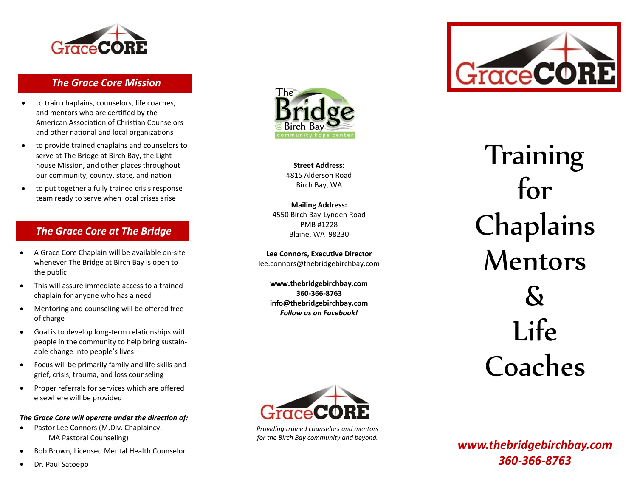

## *The Grace Core Mission*

- to train chaplains, counselors, life coaches, and mentors who are certified by the American Association of Christian Counselors and other national and local organizations
- to provide trained chaplains and counselors to serve at The Bridge at Birch Bay, the Lighthouse Mission, and other places throughout our community, county, state, and nation
- to put together a fully trained crisis response team ready to serve when local crises arise

## *The Grace Core at The Bridge*

- A Grace Core Chaplain will be available on -site whenever The Bridge at Birch Bay is open to the public
- This will assure immediate access to a trained chaplain for anyone who has a need
- Mentoring and counseling will be offered free of charge
- Goal is to develop long-term relationships with people in the community to help bring sustain able change into people's lives
- Focus will be primarily family and life skills and grief, crisis, trauma, and loss counseling
- Proper referrals for services which are offered elsewhere will be provided

*The Grace Core will operate under the direction of:*

- Pastor Lee Connors (M.Div. Chaplaincy, MA Pastoral Counseling)
- Bob Brown, Licensed Mental Health Counselor
- Dr. Paul Satoepo



**Street Address:** 4815 Alderson Road Birch Bay, WA

**Mailing Address:** 4550 Birch Bay -Lynden Road PMB #1228 Blaine, WA 98230

**Lee Connors, Executive Director** lee.connors@thebridgebirchbay.com

**www.thebridgebirchbay.com 360 -366 -8763 info@thebridgebirchbay.com** *Follow us on Facebook!*



Training for **Chaplains** Mentors & Life Coaches



*Providing trained counselors and mentors for the Birch Bay community and beyond.*

*www.thebridgebirchbay.com 360 -366 -8763*